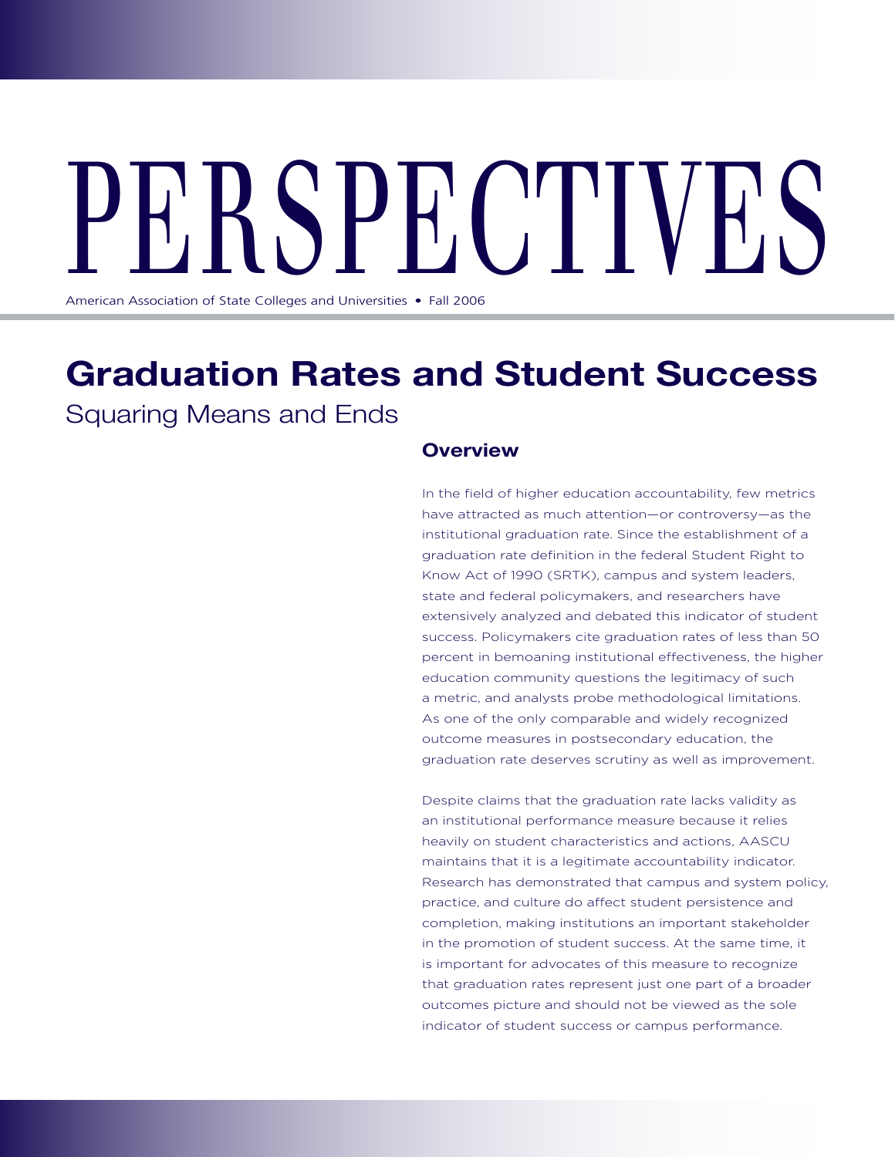# PHDDPHUIVED

American Association of State Colleges and Universities • Fall 2006

# **Graduation Rates and Student Success** Squaring Means and Ends

## **Overview**

In the field of higher education accountability, few metrics have attracted as much attention—or controversy—as the institutional graduation rate. Since the establishment of a graduation rate definition in the federal Student Right to Know Act of 1990 (SRTK), campus and system leaders, state and federal policymakers, and researchers have extensively analyzed and debated this indicator of student success. Policymakers cite graduation rates of less than 50 percent in bemoaning institutional effectiveness, the higher education community questions the legitimacy of such a metric, and analysts probe methodological limitations. As one of the only comparable and widely recognized outcome measures in postsecondary education, the graduation rate deserves scrutiny as well as improvement.

Despite claims that the graduation rate lacks validity as an institutional performance measure because it relies heavily on student characteristics and actions, AASCU maintains that it is a legitimate accountability indicator. Research has demonstrated that campus and system policy, practice, and culture do affect student persistence and completion, making institutions an important stakeholder in the promotion of student success. At the same time, it is important for advocates of this measure to recognize that graduation rates represent just one part of a broader outcomes picture and should not be viewed as the sole indicator of student success or campus performance.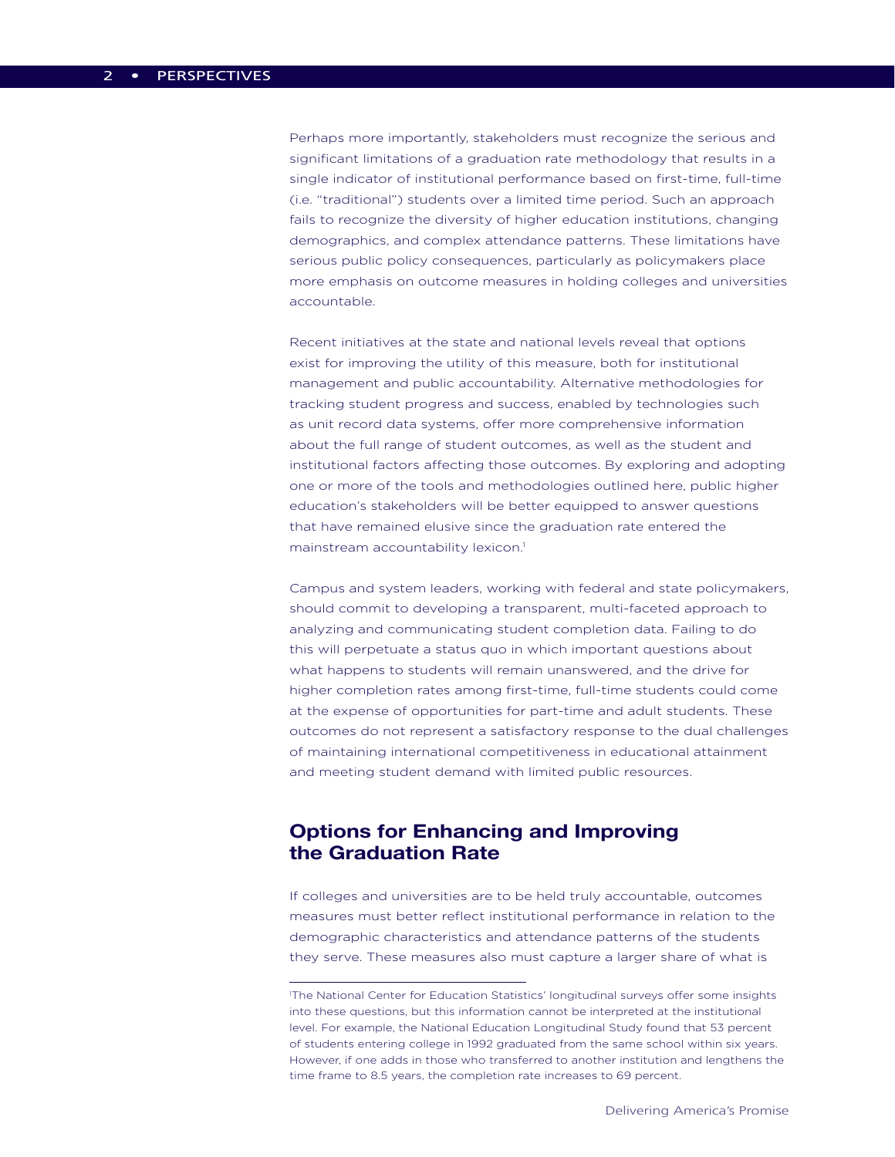Perhaps more importantly, stakeholders must recognize the serious and significant limitations of a graduation rate methodology that results in a single indicator of institutional performance based on first-time, full-time (i.e. "traditional") students over a limited time period. Such an approach fails to recognize the diversity of higher education institutions, changing demographics, and complex attendance patterns. These limitations have serious public policy consequences, particularly as policymakers place more emphasis on outcome measures in holding colleges and universities accountable.

Recent initiatives at the state and national levels reveal that options exist for improving the utility of this measure, both for institutional management and public accountability. Alternative methodologies for tracking student progress and success, enabled by technologies such as unit record data systems, offer more comprehensive information about the full range of student outcomes, as well as the student and institutional factors affecting those outcomes. By exploring and adopting one or more of the tools and methodologies outlined here, public higher education's stakeholders will be better equipped to answer questions that have remained elusive since the graduation rate entered the mainstream accountability lexicon.<sup>1</sup>

Campus and system leaders, working with federal and state policymakers, should commit to developing a transparent, multi-faceted approach to analyzing and communicating student completion data. Failing to do this will perpetuate a status quo in which important questions about what happens to students will remain unanswered, and the drive for higher completion rates among first-time, full-time students could come at the expense of opportunities for part-time and adult students. These outcomes do not represent a satisfactory response to the dual challenges of maintaining international competitiveness in educational attainment and meeting student demand with limited public resources.

# **Options for Enhancing and Improving the Graduation Rate**

If colleges and universities are to be held truly accountable, outcomes measures must better reflect institutional performance in relation to the demographic characteristics and attendance patterns of the students they serve. These measures also must capture a larger share of what is

<sup>1</sup> The National Center for Education Statistics' longitudinal surveys offer some insights into these questions, but this information cannot be interpreted at the institutional level. For example, the National Education Longitudinal Study found that 53 percent of students entering college in 1992 graduated from the same school within six years. However, if one adds in those who transferred to another institution and lengthens the time frame to 8.5 years, the completion rate increases to 69 percent.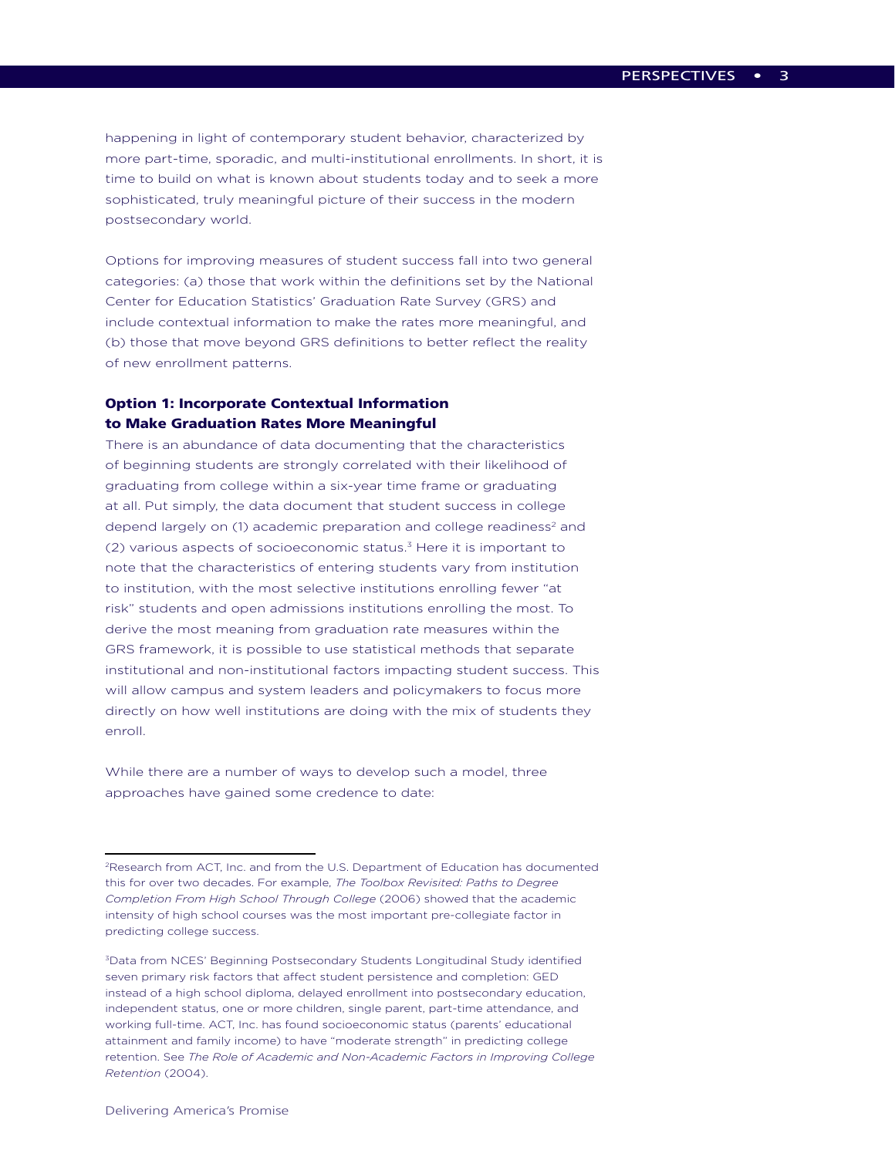happening in light of contemporary student behavior, characterized by more part-time, sporadic, and multi-institutional enrollments. In short, it is time to build on what is known about students today and to seek a more sophisticated, truly meaningful picture of their success in the modern postsecondary world.

Options for improving measures of student success fall into two general categories: (a) those that work within the definitions set by the National Center for Education Statistics' Graduation Rate Survey (GRS) and include contextual information to make the rates more meaningful, and (b) those that move beyond GRS definitions to better reflect the reality of new enrollment patterns.

#### Option 1: Incorporate Contextual Information to Make Graduation Rates More Meaningful

There is an abundance of data documenting that the characteristics of beginning students are strongly correlated with their likelihood of graduating from college within a six-year time frame or graduating at all. Put simply, the data document that student success in college depend largely on (1) academic preparation and college readiness<sup>2</sup> and (2) various aspects of socioeconomic status.3 Here it is important to note that the characteristics of entering students vary from institution to institution, with the most selective institutions enrolling fewer "at risk" students and open admissions institutions enrolling the most. To derive the most meaning from graduation rate measures within the GRS framework, it is possible to use statistical methods that separate institutional and non-institutional factors impacting student success. This will allow campus and system leaders and policymakers to focus more directly on how well institutions are doing with the mix of students they enroll.

While there are a number of ways to develop such a model, three approaches have gained some credence to date:

<sup>2</sup>Research from ACT, Inc. and from the U.S. Department of Education has documented this for over two decades. For example, *The Toolbox Revisited: Paths to Degree Completion From High School Through College* (2006) showed that the academic intensity of high school courses was the most important pre-collegiate factor in predicting college success.

<sup>3</sup>Data from NCES' Beginning Postsecondary Students Longitudinal Study identified seven primary risk factors that affect student persistence and completion: GED instead of a high school diploma, delayed enrollment into postsecondary education, independent status, one or more children, single parent, part-time attendance, and working full-time. ACT, Inc. has found socioeconomic status (parents' educational attainment and family income) to have "moderate strength" in predicting college retention. See *The Role of Academic and Non-Academic Factors in Improving College Retention* (2004).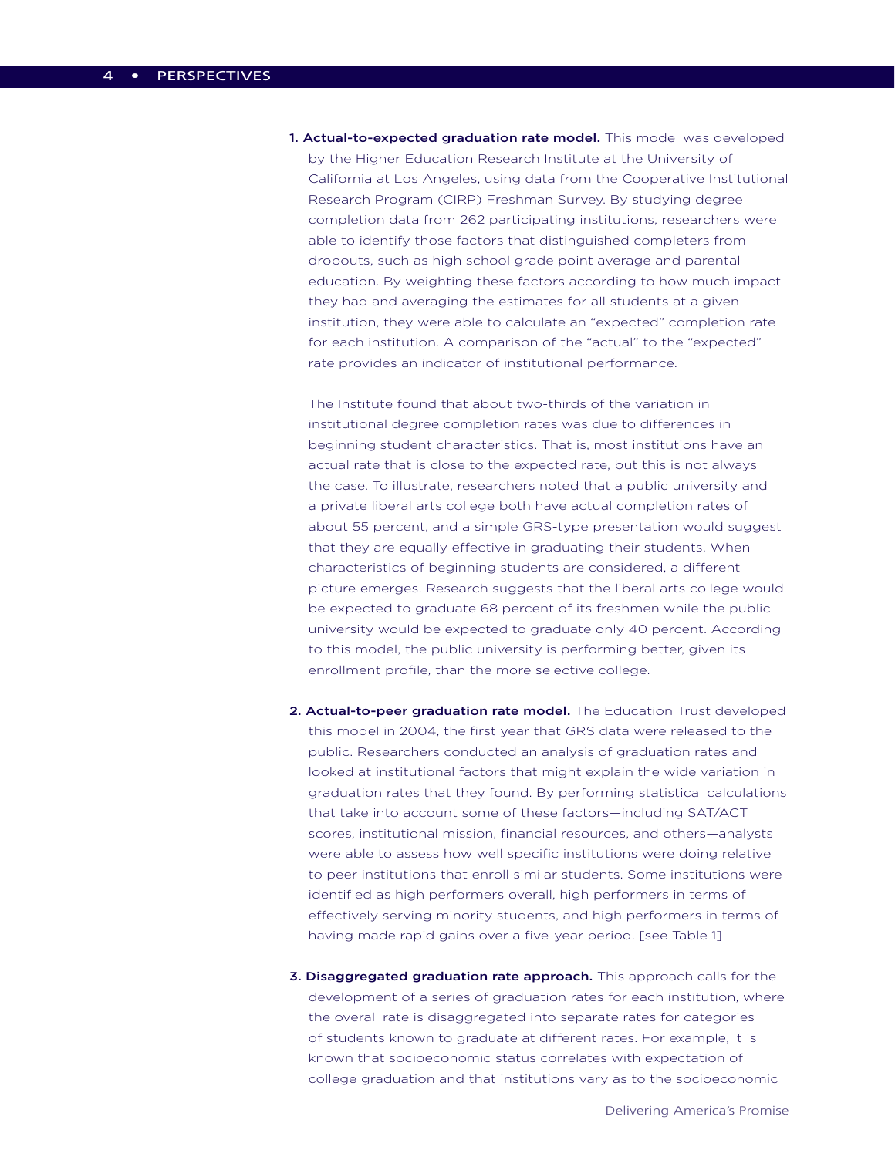1. Actual-to-expected graduation rate model. This model was developed by the Higher Education Research Institute at the University of California at Los Angeles, using data from the Cooperative Institutional Research Program (CIRP) Freshman Survey. By studying degree completion data from 262 participating institutions, researchers were able to identify those factors that distinguished completers from dropouts, such as high school grade point average and parental education. By weighting these factors according to how much impact they had and averaging the estimates for all students at a given institution, they were able to calculate an "expected" completion rate for each institution. A comparison of the "actual" to the "expected" rate provides an indicator of institutional performance.

The Institute found that about two-thirds of the variation in institutional degree completion rates was due to differences in beginning student characteristics. That is, most institutions have an actual rate that is close to the expected rate, but this is not always the case. To illustrate, researchers noted that a public university and a private liberal arts college both have actual completion rates of about 55 percent, and a simple GRS-type presentation would suggest that they are equally effective in graduating their students. When characteristics of beginning students are considered, a different picture emerges. Research suggests that the liberal arts college would be expected to graduate 68 percent of its freshmen while the public university would be expected to graduate only 40 percent. According to this model, the public university is performing better, given its enrollment profile, than the more selective college.

- 2. Actual-to-peer graduation rate model. The Education Trust developed this model in 2004, the first year that GRS data were released to the public. Researchers conducted an analysis of graduation rates and looked at institutional factors that might explain the wide variation in graduation rates that they found. By performing statistical calculations that take into account some of these factors—including SAT/ACT scores, institutional mission, financial resources, and others—analysts were able to assess how well specific institutions were doing relative to peer institutions that enroll similar students. Some institutions were identified as high performers overall, high performers in terms of effectively serving minority students, and high performers in terms of having made rapid gains over a five-year period. [see Table 1]
- 3. Disaggregated graduation rate approach. This approach calls for the development of a series of graduation rates for each institution, where the overall rate is disaggregated into separate rates for categories of students known to graduate at different rates. For example, it is known that socioeconomic status correlates with expectation of college graduation and that institutions vary as to the socioeconomic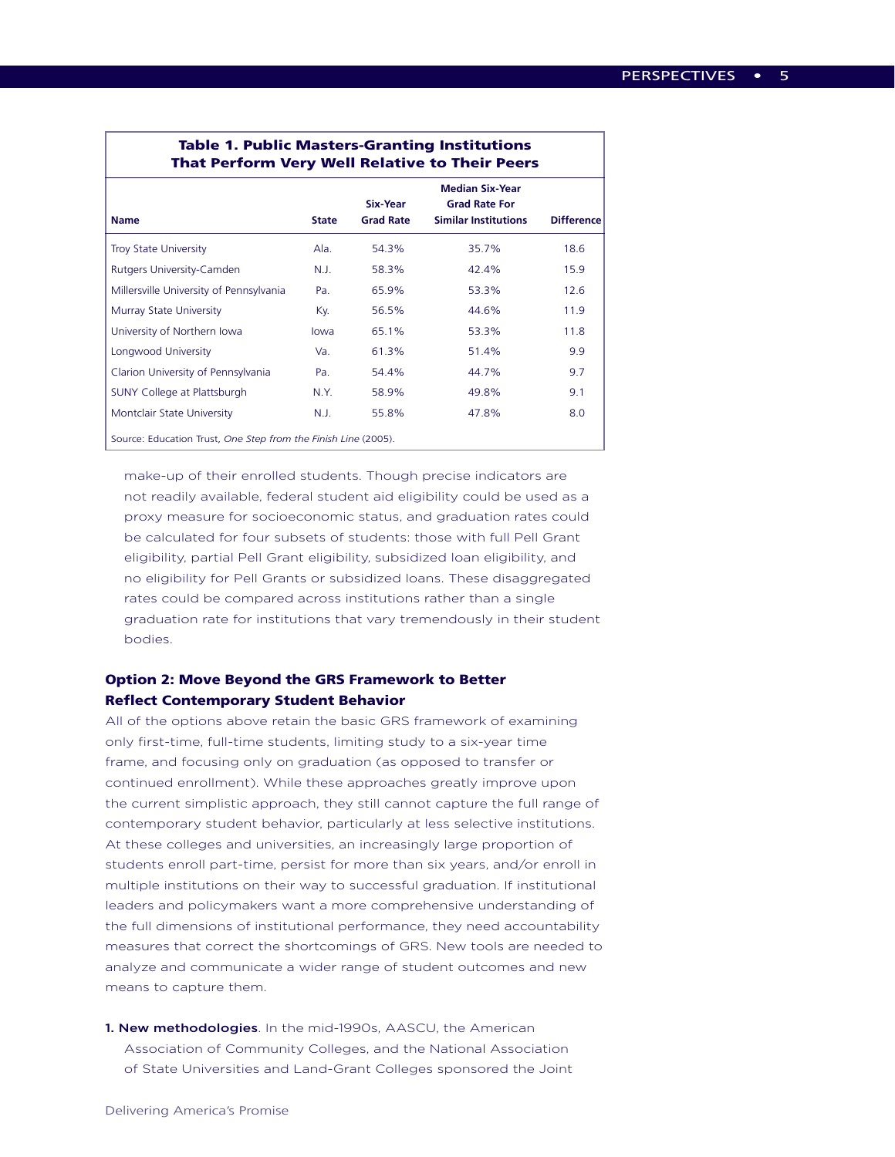# Table 1. Public Masters-Granting Institutions That Perform Very Well Relative to Their Peers

|                                                                |              | <b>Median Six-Year</b> |                             |                   |
|----------------------------------------------------------------|--------------|------------------------|-----------------------------|-------------------|
|                                                                |              | Six-Year               | <b>Grad Rate For</b>        |                   |
| <b>Name</b>                                                    | <b>State</b> | <b>Grad Rate</b>       | <b>Similar Institutions</b> | <b>Difference</b> |
| <b>Troy State University</b>                                   | Ala.         | 54.3%                  | 35.7%                       | 18.6              |
| Rutgers University-Camden                                      | N.J.         | 58.3%                  | 42.4%                       | 15.9              |
| Millersville University of Pennsylvania                        | Pa.          | 65.9%                  | 53.3%                       | 12.6              |
| Murray State University                                        | Kv.          | 56.5%                  | 44.6%                       | 11.9              |
| University of Northern Iowa                                    | lowa         | 65.1%                  | 53.3%                       | 11.8              |
| Longwood University                                            | Va.          | 61.3%                  | 51.4%                       | 9.9               |
| Clarion University of Pennsylvania                             | Pa.          | 54.4%                  | 44.7%                       | 9.7               |
| SUNY College at Plattsburgh                                    | N.Y.         | 58.9%                  | 49.8%                       | 9.1               |
| Montclair State University                                     | N.J.         | 55.8%                  | 47.8%                       | 8.0               |
| Source: Education Trust, One Step from the Finish Line (2005). |              |                        |                             |                   |

make-up of their enrolled students. Though precise indicators are not readily available, federal student aid eligibility could be used as a proxy measure for socioeconomic status, and graduation rates could be calculated for four subsets of students: those with full Pell Grant eligibility, partial Pell Grant eligibility, subsidized loan eligibility, and no eligibility for Pell Grants or subsidized loans. These disaggregated rates could be compared across institutions rather than a single graduation rate for institutions that vary tremendously in their student bodies.

#### Option 2: Move Beyond the GRS Framework to Better Reflect Contemporary Student Behavior

All of the options above retain the basic GRS framework of examining only first-time, full-time students, limiting study to a six-year time frame, and focusing only on graduation (as opposed to transfer or continued enrollment). While these approaches greatly improve upon the current simplistic approach, they still cannot capture the full range of contemporary student behavior, particularly at less selective institutions. At these colleges and universities, an increasingly large proportion of students enroll part-time, persist for more than six years, and/or enroll in multiple institutions on their way to successful graduation. If institutional leaders and policymakers want a more comprehensive understanding of the full dimensions of institutional performance, they need accountability measures that correct the shortcomings of GRS. New tools are needed to analyze and communicate a wider range of student outcomes and new means to capture them.

#### 1. New methodologies. In the mid-1990s, AASCU, the American Association of Community Colleges, and the National Association of State Universities and Land-Grant Colleges sponsored the Joint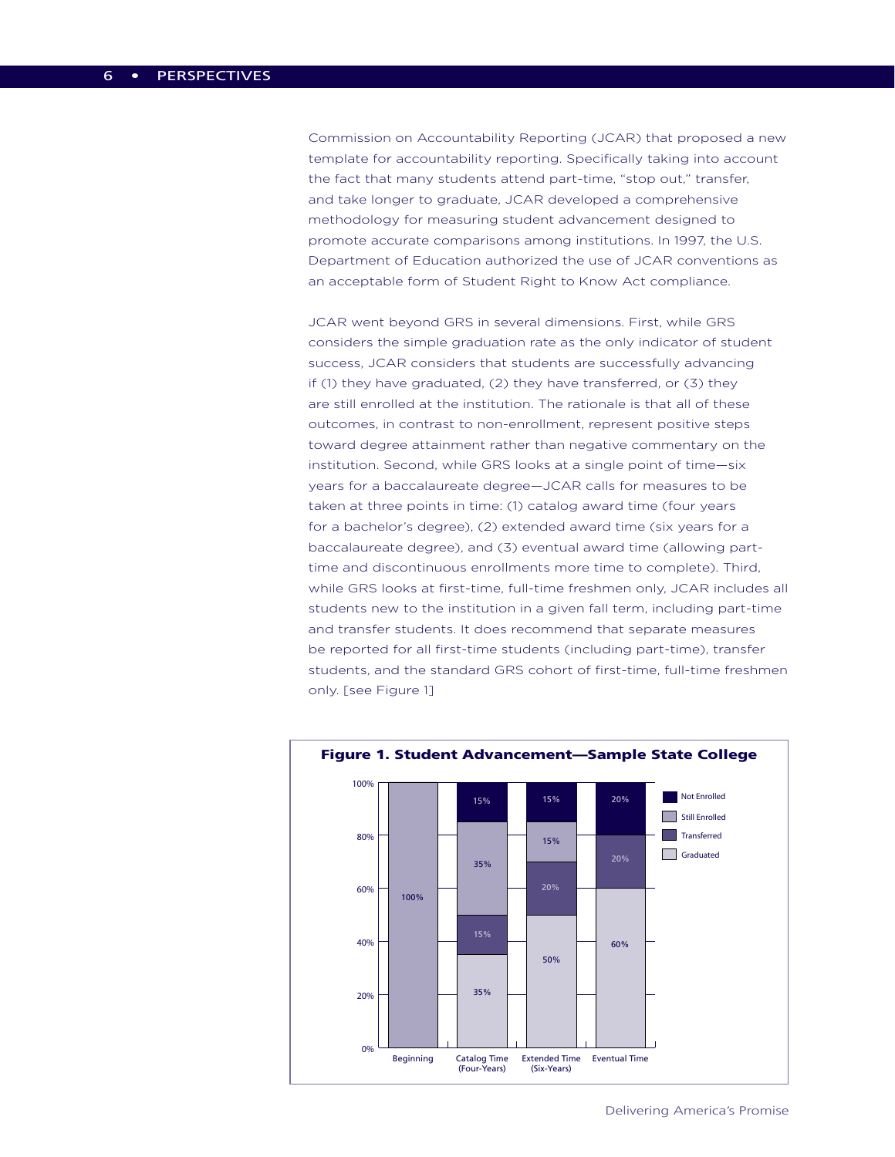Commission on Accountability Reporting (JCAR) that proposed a new template for accountability reporting. Specifically taking into account the fact that many students attend part-time, "stop out," transfer, and take longer to graduate, JCAR developed a comprehensive methodology for measuring student advancement designed to promote accurate comparisons among institutions. In 1997, the U.S. Department of Education authorized the use of JCAR conventions as an acceptable form of Student Right to Know Act compliance.

JCAR went beyond GRS in several dimensions. First, while GRS considers the simple graduation rate as the only indicator of student success, JCAR considers that students are successfully advancing if (1) they have graduated, (2) they have transferred, or (3) they are still enrolled at the institution. The rationale is that all of these outcomes, in contrast to non-enrollment, represent positive steps toward degree attainment rather than negative commentary on the institution. Second, while GRS looks at a single point of time—six years for a baccalaureate degree—JCAR calls for measures to be taken at three points in time: (1) catalog award time (four years for a bachelor's degree), (2) extended award time (six years for a baccalaureate degree), and (3) eventual award time (allowing parttime and discontinuous enrollments more time to complete). Third, while GRS looks at first-time, full-time freshmen only, JCAR includes all students new to the institution in a given fall term, including part-time and transfer students. It does recommend that separate measures be reported for all first-time students (including part-time), transfer students, and the standard GRS cohort of first-time, full-time freshmen only. [see Figure 1]



Delivering America's Promise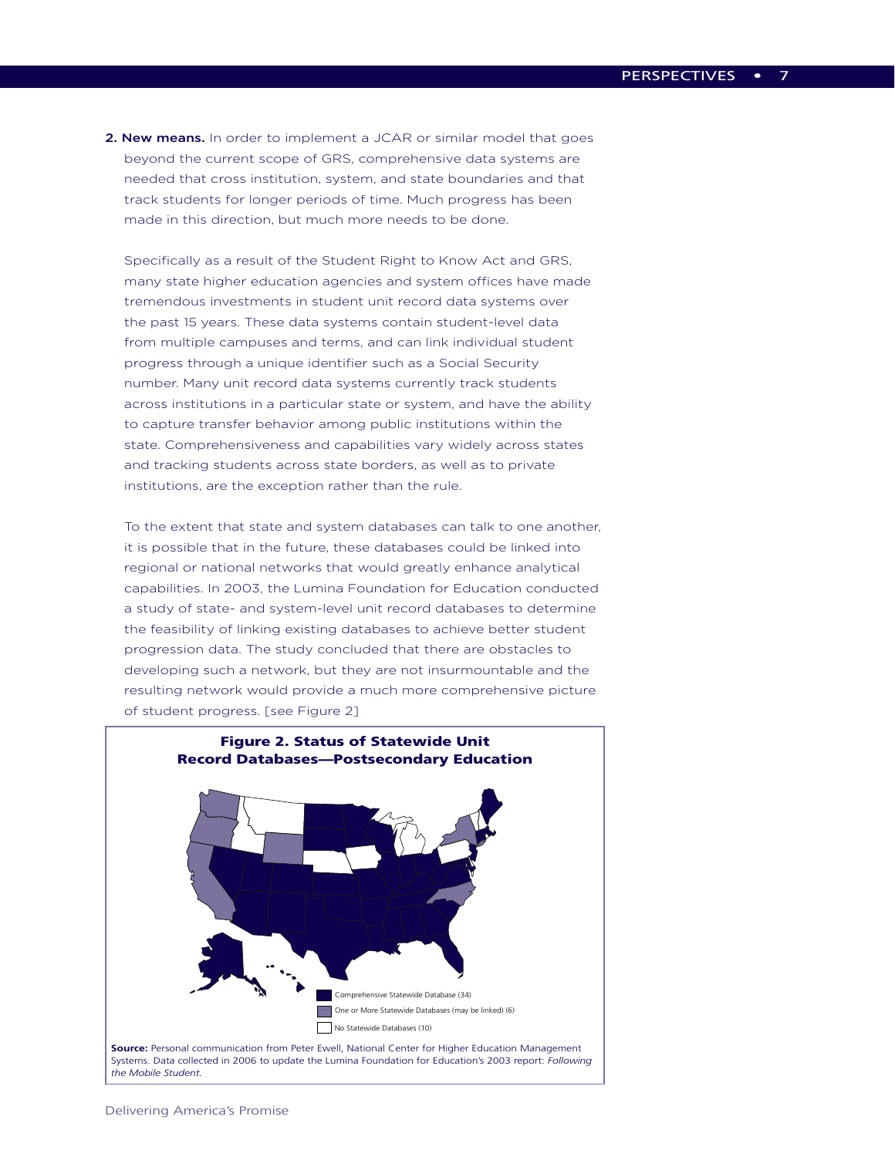2. New means. In order to implement a JCAR or similar model that goes beyond the current scope of GRS, comprehensive data systems are needed that cross institution, system, and state boundaries and that track students for longer periods of time. Much progress has been made in this direction, but much more needs to be done.

Specifically as a result of the Student Right to Know Act and GRS, many state higher education agencies and system offices have made tremendous investments in student unit record data systems over the past 15 years. These data systems contain student-level data from multiple campuses and terms, and can link individual student progress through a unique identifier such as a Social Security number. Many unit record data systems currently track students across institutions in a particular state or system, and have the ability to capture transfer behavior among public institutions within the state. Comprehensiveness and capabilities vary widely across states and tracking students across state borders, as well as to private institutions, are the exception rather than the rule.

To the extent that state and system databases can talk to one another, it is possible that in the future, these databases could be linked into regional or national networks that would greatly enhance analytical capabilities. In 2003, the Lumina Foundation for Education conducted a study of state- and system-level unit record databases to determine the feasibility of linking existing databases to achieve better student progression data. The study concluded that there are obstacles to developing such a network, but they are not insurmountable and the resulting network would provide a much more comprehensive picture of student progress. [see Figure 2]



*the Mobile Student.*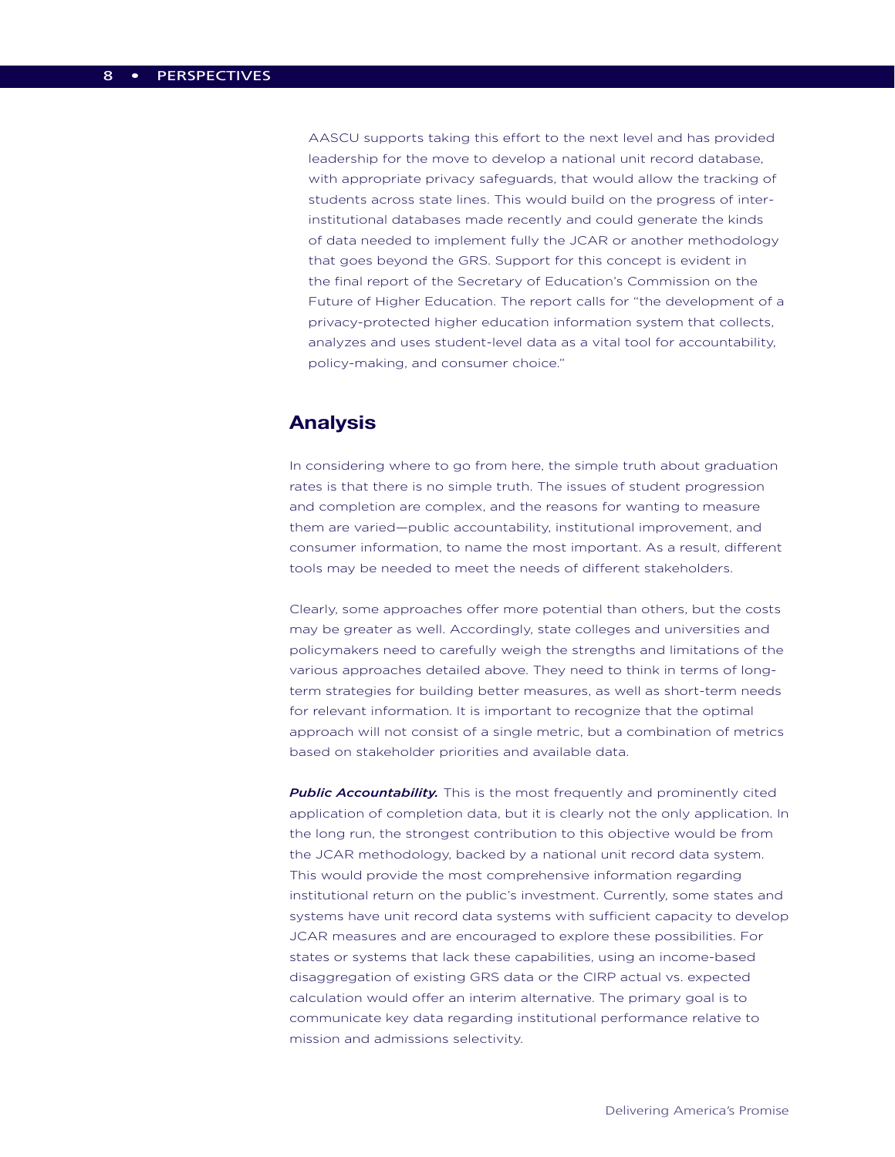AASCU supports taking this effort to the next level and has provided leadership for the move to develop a national unit record database, with appropriate privacy safeguards, that would allow the tracking of students across state lines. This would build on the progress of interinstitutional databases made recently and could generate the kinds of data needed to implement fully the JCAR or another methodology that goes beyond the GRS. Support for this concept is evident in the final report of the Secretary of Education's Commission on the Future of Higher Education. The report calls for "the development of a privacy-protected higher education information system that collects, analyzes and uses student-level data as a vital tool for accountability, policy-making, and consumer choice."

### **Analysis**

In considering where to go from here, the simple truth about graduation rates is that there is no simple truth. The issues of student progression and completion are complex, and the reasons for wanting to measure them are varied—public accountability, institutional improvement, and consumer information, to name the most important. As a result, different tools may be needed to meet the needs of different stakeholders.

Clearly, some approaches offer more potential than others, but the costs may be greater as well. Accordingly, state colleges and universities and policymakers need to carefully weigh the strengths and limitations of the various approaches detailed above. They need to think in terms of longterm strategies for building better measures, as well as short-term needs for relevant information. It is important to recognize that the optimal approach will not consist of a single metric, but a combination of metrics based on stakeholder priorities and available data.

*Public Accountability.* This is the most frequently and prominently cited application of completion data, but it is clearly not the only application. In the long run, the strongest contribution to this objective would be from the JCAR methodology, backed by a national unit record data system. This would provide the most comprehensive information regarding institutional return on the public's investment. Currently, some states and systems have unit record data systems with sufficient capacity to develop JCAR measures and are encouraged to explore these possibilities. For states or systems that lack these capabilities, using an income-based disaggregation of existing GRS data or the CIRP actual vs. expected calculation would offer an interim alternative. The primary goal is to communicate key data regarding institutional performance relative to mission and admissions selectivity.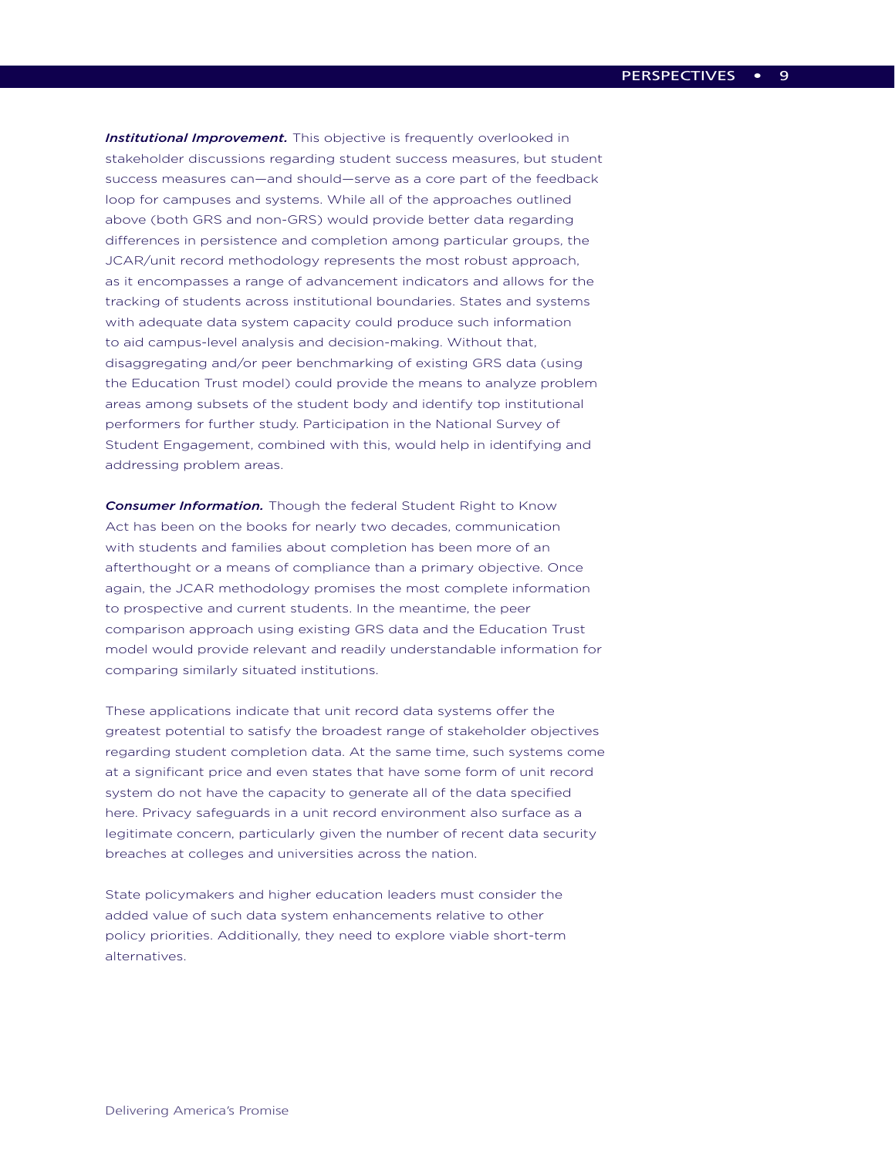*Institutional Improvement.* This objective is frequently overlooked in stakeholder discussions regarding student success measures, but student success measures can—and should—serve as a core part of the feedback loop for campuses and systems. While all of the approaches outlined above (both GRS and non-GRS) would provide better data regarding differences in persistence and completion among particular groups, the JCAR/unit record methodology represents the most robust approach, as it encompasses a range of advancement indicators and allows for the tracking of students across institutional boundaries. States and systems with adequate data system capacity could produce such information to aid campus-level analysis and decision-making. Without that, disaggregating and/or peer benchmarking of existing GRS data (using the Education Trust model) could provide the means to analyze problem areas among subsets of the student body and identify top institutional performers for further study. Participation in the National Survey of Student Engagement, combined with this, would help in identifying and addressing problem areas.

*Consumer Information.* Though the federal Student Right to Know Act has been on the books for nearly two decades, communication with students and families about completion has been more of an afterthought or a means of compliance than a primary objective. Once again, the JCAR methodology promises the most complete information to prospective and current students. In the meantime, the peer comparison approach using existing GRS data and the Education Trust model would provide relevant and readily understandable information for comparing similarly situated institutions.

These applications indicate that unit record data systems offer the greatest potential to satisfy the broadest range of stakeholder objectives regarding student completion data. At the same time, such systems come at a significant price and even states that have some form of unit record system do not have the capacity to generate all of the data specified here. Privacy safeguards in a unit record environment also surface as a legitimate concern, particularly given the number of recent data security breaches at colleges and universities across the nation.

State policymakers and higher education leaders must consider the added value of such data system enhancements relative to other policy priorities. Additionally, they need to explore viable short-term alternatives.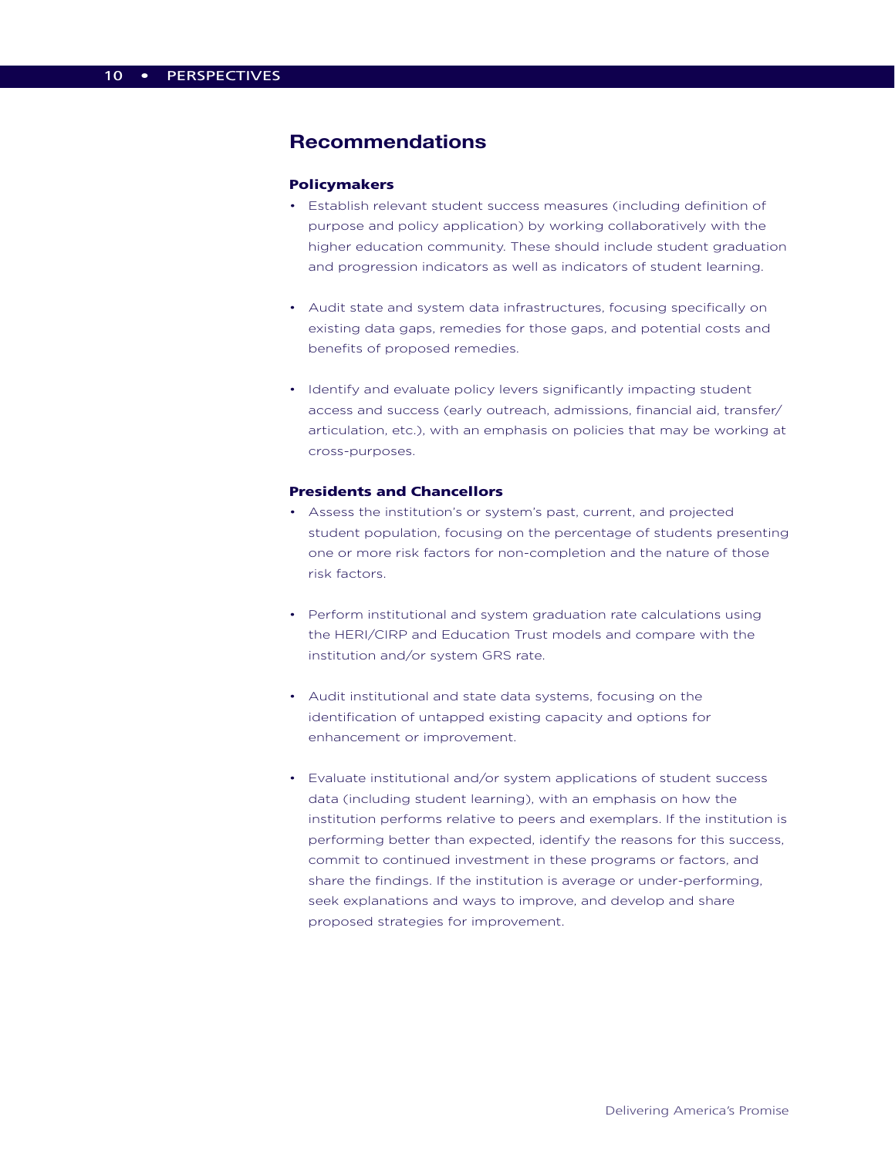# **Recommendations**

#### Policymakers

- Establish relevant student success measures (including definition of purpose and policy application) by working collaboratively with the higher education community. These should include student graduation and progression indicators as well as indicators of student learning.
- Audit state and system data infrastructures, focusing specifically on existing data gaps, remedies for those gaps, and potential costs and benefits of proposed remedies.
- Identify and evaluate policy levers significantly impacting student access and success (early outreach, admissions, financial aid, transfer/ articulation, etc.), with an emphasis on policies that may be working at cross-purposes.

#### Presidents and Chancellors

- Assess the institution's or system's past, current, and projected student population, focusing on the percentage of students presenting one or more risk factors for non-completion and the nature of those risk factors.
- Perform institutional and system graduation rate calculations using the HERI/CIRP and Education Trust models and compare with the institution and/or system GRS rate.
- Audit institutional and state data systems, focusing on the identification of untapped existing capacity and options for enhancement or improvement.
- Evaluate institutional and/or system applications of student success data (including student learning), with an emphasis on how the institution performs relative to peers and exemplars. If the institution is performing better than expected, identify the reasons for this success, commit to continued investment in these programs or factors, and share the findings. If the institution is average or under-performing, seek explanations and ways to improve, and develop and share proposed strategies for improvement.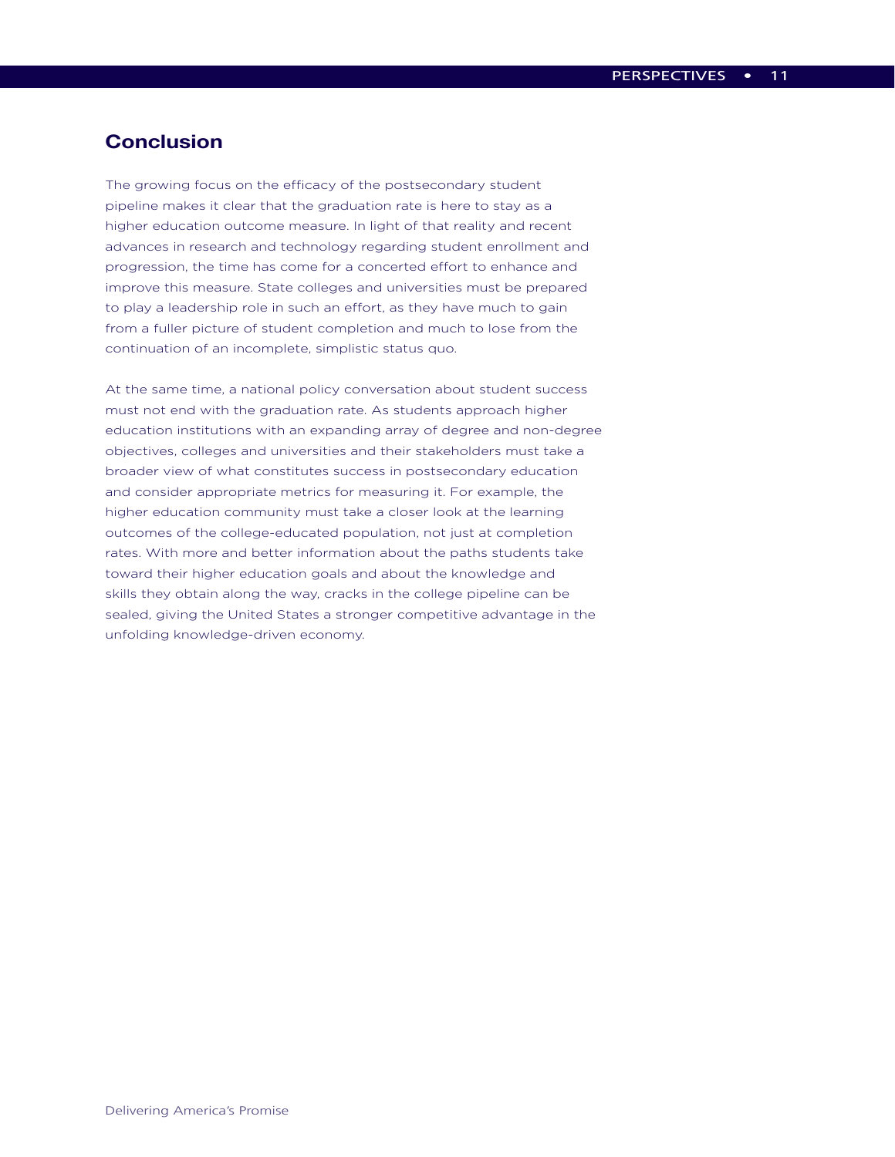# **Conclusion**

The growing focus on the efficacy of the postsecondary student pipeline makes it clear that the graduation rate is here to stay as a higher education outcome measure. In light of that reality and recent advances in research and technology regarding student enrollment and progression, the time has come for a concerted effort to enhance and improve this measure. State colleges and universities must be prepared to play a leadership role in such an effort, as they have much to gain from a fuller picture of student completion and much to lose from the continuation of an incomplete, simplistic status quo.

At the same time, a national policy conversation about student success must not end with the graduation rate. As students approach higher education institutions with an expanding array of degree and non-degree objectives, colleges and universities and their stakeholders must take a broader view of what constitutes success in postsecondary education and consider appropriate metrics for measuring it. For example, the higher education community must take a closer look at the learning outcomes of the college-educated population, not just at completion rates. With more and better information about the paths students take toward their higher education goals and about the knowledge and skills they obtain along the way, cracks in the college pipeline can be sealed, giving the United States a stronger competitive advantage in the unfolding knowledge-driven economy.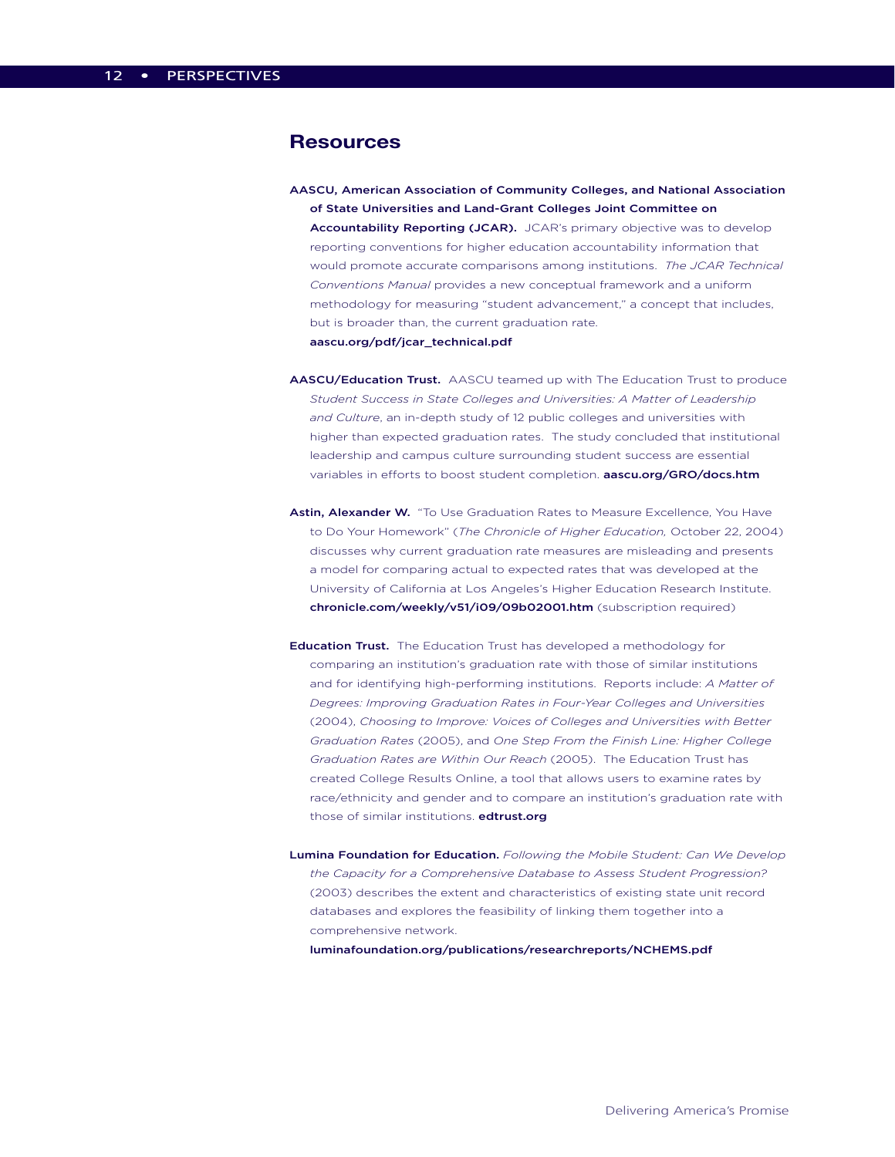#### **Resources**

AASCU, American Association of Community Colleges, and National Association of State Universities and Land-Grant Colleges Joint Committee on Accountability Reporting (JCAR). JCAR's primary objective was to develop reporting conventions for higher education accountability information that would promote accurate comparisons among institutions. *The JCAR Technical Conventions Manual* provides a new conceptual framework and a uniform methodology for measuring "student advancement," a concept that includes, but is broader than, the current graduation rate.

#### aascu.org/pdf/jcar\_technical.pdf

- AASCU/Education Trust. AASCU teamed up with The Education Trust to produce *Student Success in State Colleges and Universities: A Matter of Leadership and Culture*, an in-depth study of 12 public colleges and universities with higher than expected graduation rates. The study concluded that institutional leadership and campus culture surrounding student success are essential variables in efforts to boost student completion. **aascu.org/GRO/docs.htm**
- Astin, Alexander W. "To Use Graduation Rates to Measure Excellence, You Have to Do Your Homework" (*The Chronicle of Higher Education,* October 22, 2004) discusses why current graduation rate measures are misleading and presents a model for comparing actual to expected rates that was developed at the University of California at Los Angeles's Higher Education Research Institute. chronicle.com/weekly/v51/i09/09b02001.htm (subscription required)
- Education Trust. The Education Trust has developed a methodology for comparing an institution's graduation rate with those of similar institutions and for identifying high-performing institutions. Reports include: *A Matter of Degrees: Improving Graduation Rates in Four-Year Colleges and Universities* (2004), *Choosing to Improve: Voices of Colleges and Universities with Better Graduation Rates* (2005), and *One Step From the Finish Line: Higher College Graduation Rates are Within Our Reach* (2005). The Education Trust has created College Results Online, a tool that allows users to examine rates by race/ethnicity and gender and to compare an institution's graduation rate with those of similar institutions. edtrust.org
- Lumina Foundation for Education. *Following the Mobile Student: Can We Develop the Capacity for a Comprehensive Database to Assess Student Progression?* (2003) describes the extent and characteristics of existing state unit record databases and explores the feasibility of linking them together into a comprehensive network.

luminafoundation.org/publications/researchreports/NCHEMS.pdf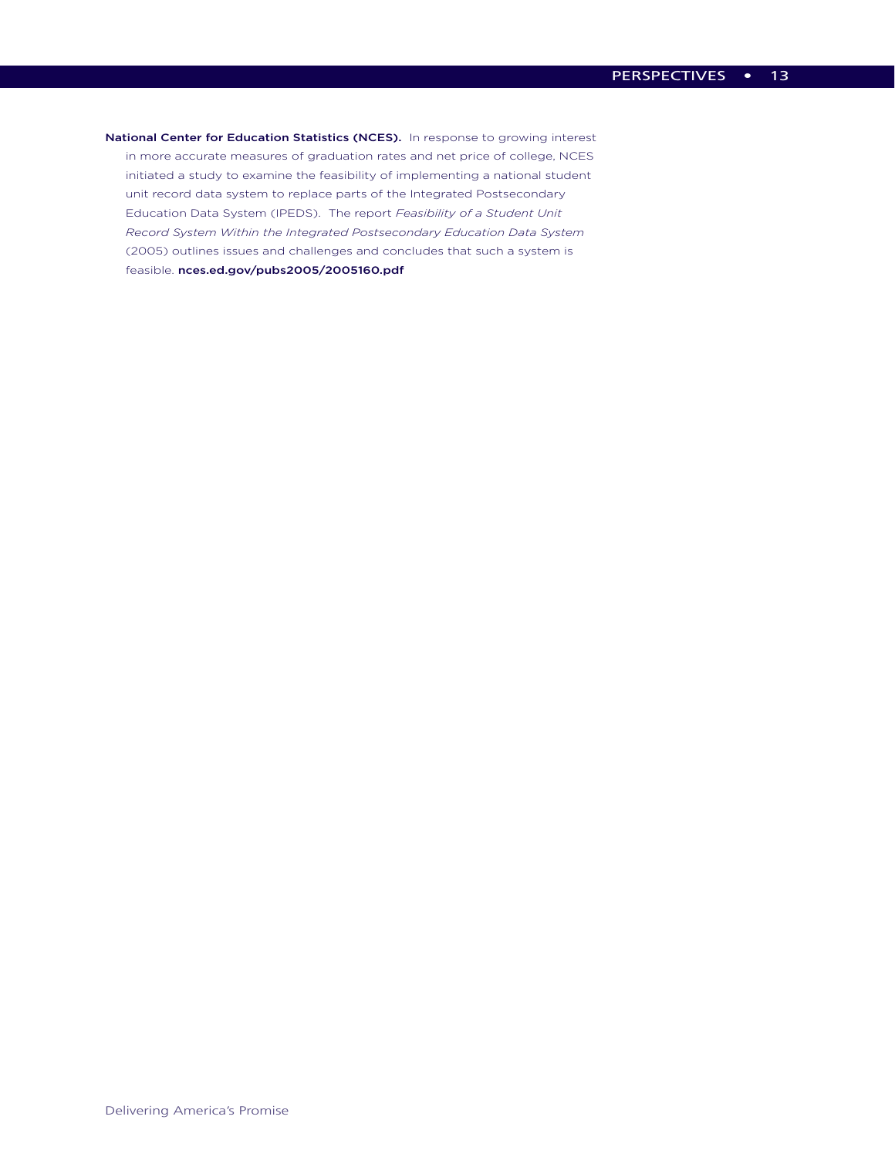National Center for Education Statistics (NCES). In response to growing interest in more accurate measures of graduation rates and net price of college, NCES initiated a study to examine the feasibility of implementing a national student unit record data system to replace parts of the Integrated Postsecondary Education Data System (IPEDS). The report *Feasibility of a Student Unit Record System Within the Integrated Postsecondary Education Data System*  (2005) outlines issues and challenges and concludes that such a system is feasible. nces.ed.gov/pubs2005/2005160.pdf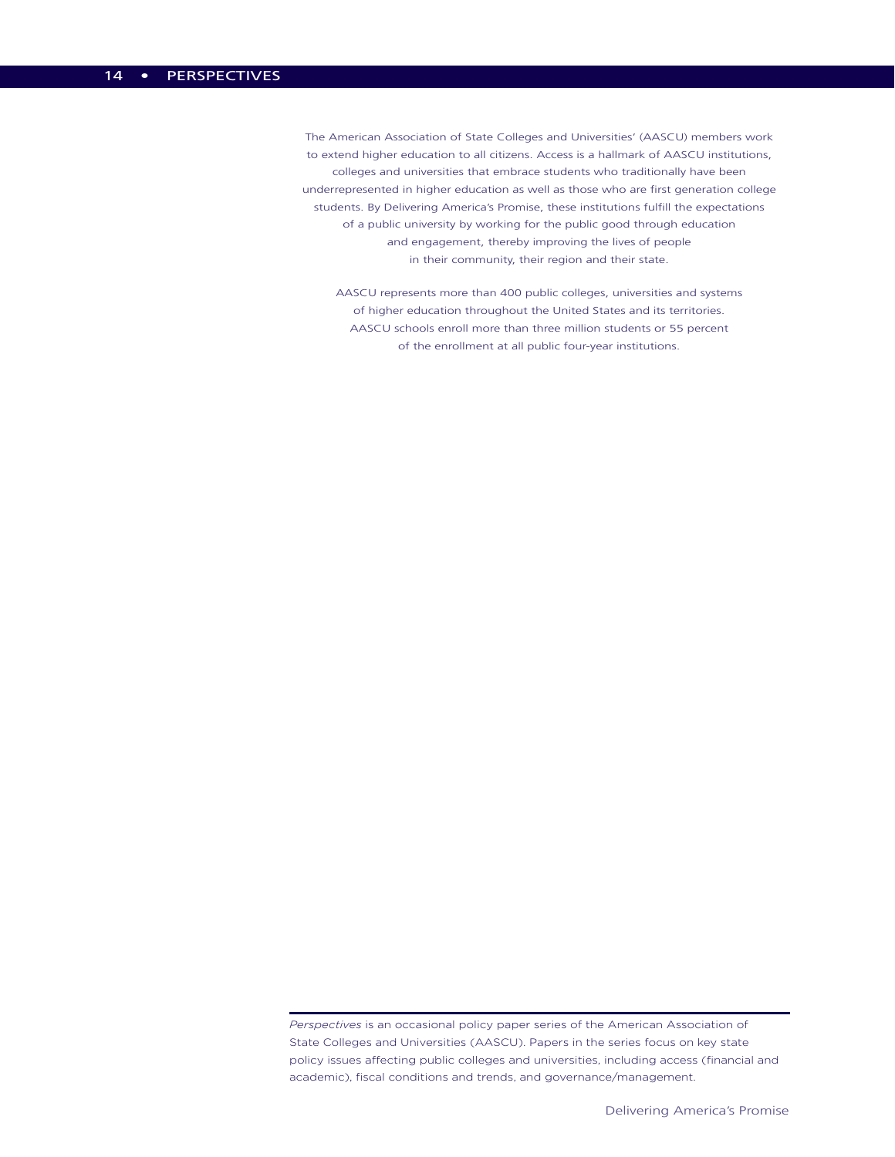The American Association of State Colleges and Universities' (AASCU) members work to extend higher education to all citizens. Access is a hallmark of AASCU institutions, colleges and universities that embrace students who traditionally have been underrepresented in higher education as well as those who are first generation college students. By Delivering America's Promise, these institutions fulfill the expectations of a public university by working for the public good through education and engagement, thereby improving the lives of people in their community, their region and their state.

AASCU represents more than 400 public colleges, universities and systems of higher education throughout the United States and its territories. AASCU schools enroll more than three million students or 55 percent of the enrollment at all public four-year institutions.

*Perspectives* is an occasional policy paper series of the American Association of State Colleges and Universities (AASCU). Papers in the series focus on key state policy issues affecting public colleges and universities, including access (financial and academic), fiscal conditions and trends, and governance/management.